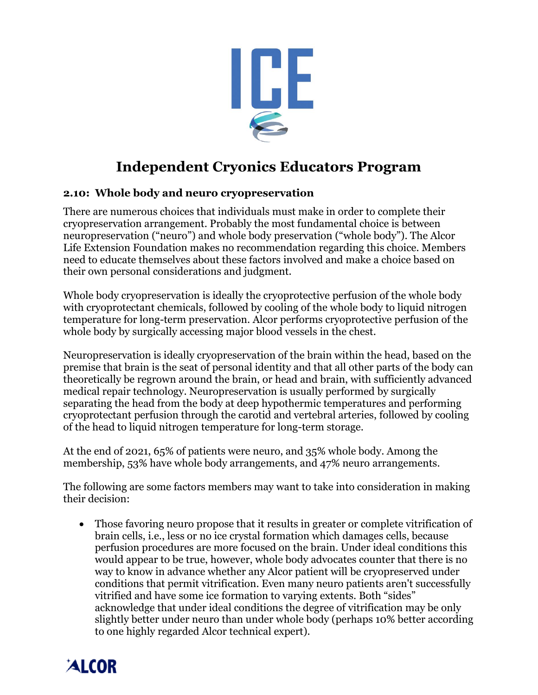

## **Independent Cryonics Educators Program**

## **2.10: Whole body and neuro cryopreservation**

There are numerous choices that individuals must make in order to complete their cryopreservation arrangement. Probably the most fundamental choice is between neuropreservation ("neuro") and whole body preservation ("whole body"). The Alcor Life Extension Foundation makes no recommendation regarding this choice. Members need to educate themselves about these factors involved and make a choice based on their own personal considerations and judgment.

Whole body cryopreservation is ideally the cryoprotective perfusion of the whole body with cryoprotectant chemicals, followed by cooling of the whole body to liquid nitrogen temperature for long-term preservation. Alcor performs cryoprotective perfusion of the whole body by surgically accessing major blood vessels in the chest.

Neuropreservation is ideally cryopreservation of the brain within the head, based on the premise that brain is the seat of personal identity and that all other parts of the body can theoretically be regrown around the brain, or head and brain, with sufficiently advanced medical repair technology. Neuropreservation is usually performed by surgically separating the head from the body at deep hypothermic temperatures and performing cryoprotectant perfusion through the carotid and vertebral arteries, followed by cooling of the head to liquid nitrogen temperature for long-term storage.

At the end of 2021, 65% of patients were neuro, and 35% whole body. Among the membership, 53% have whole body arrangements, and 47% neuro arrangements.

The following are some factors members may want to take into consideration in making their decision:

• Those favoring neuro propose that it results in greater or complete vitrification of brain cells, i.e., less or no ice crystal formation which damages cells, because perfusion procedures are more focused on the brain. Under ideal conditions this would appear to be true, however, whole body advocates counter that there is no way to know in advance whether any Alcor patient will be cryopreserved under conditions that permit vitrification. Even many neuro patients aren't successfully vitrified and have some ice formation to varying extents. Both "sides" acknowledge that under ideal conditions the degree of vitrification may be only slightly better under neuro than under whole body (perhaps 10% better according to one highly regarded Alcor technical expert).

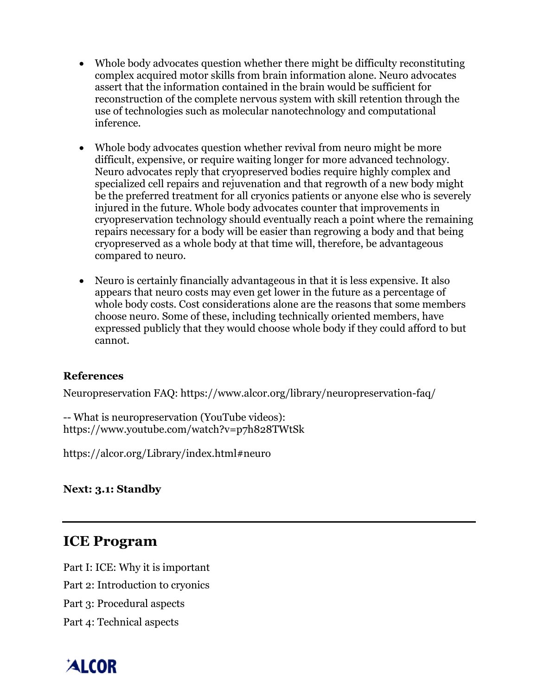- Whole body advocates question whether there might be difficulty reconstituting complex acquired motor skills from brain information alone. Neuro advocates assert that the information contained in the brain would be sufficient for reconstruction of the complete nervous system with skill retention through the use of technologies such as molecular nanotechnology and computational inference.
- Whole body advocates question whether revival from neuro might be more difficult, expensive, or require waiting longer for more advanced technology. Neuro advocates reply that cryopreserved bodies require highly complex and specialized cell repairs and rejuvenation and that regrowth of a new body might be the preferred treatment for all cryonics patients or anyone else who is severely injured in the future. Whole body advocates counter that improvements in cryopreservation technology should eventually reach a point where the remaining repairs necessary for a body will be easier than regrowing a body and that being cryopreserved as a whole body at that time will, therefore, be advantageous compared to neuro.
- Neuro is certainly financially advantageous in that it is less expensive. It also appears that neuro costs may even get lower in the future as a percentage of whole body costs. Cost considerations alone are the reasons that some members choose neuro. Some of these, including technically oriented members, have expressed publicly that they would choose whole body if they could afford to but cannot.

## **References**

Neuropreservation FAQ: https://www.alcor.org/library/neuropreservation-faq/

-- What is neuropreservation (YouTube videos): https://www.youtube.com/watch?v=p7h828TWtSk

https://alcor.org/Library/index.html#neuro

**Next: 3.1: Standby**

## **ICE Program**

Part I: ICE: Why it is important

Part 2: Introduction to cryonics

Part 3: Procedural aspects

Part 4: Technical aspects